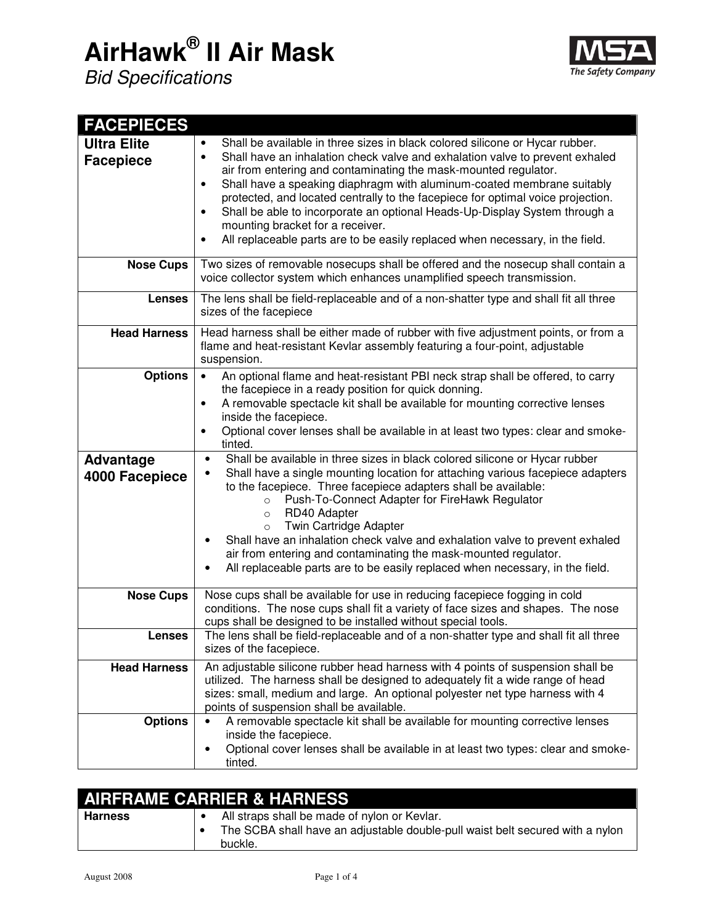## **AirHawk® II Air Mask**





| <b>FACEPIECES</b>                                    |                                                                                                                                                                                                                                                                                                                                                                                                                                                                                                                                                                                                                                                                                                                                                                                                                                                                                                           |
|------------------------------------------------------|-----------------------------------------------------------------------------------------------------------------------------------------------------------------------------------------------------------------------------------------------------------------------------------------------------------------------------------------------------------------------------------------------------------------------------------------------------------------------------------------------------------------------------------------------------------------------------------------------------------------------------------------------------------------------------------------------------------------------------------------------------------------------------------------------------------------------------------------------------------------------------------------------------------|
| <b>Ultra Elite</b><br><b>Facepiece</b>               | Shall be available in three sizes in black colored silicone or Hycar rubber.<br>$\bullet$<br>Shall have an inhalation check valve and exhalation valve to prevent exhaled<br>$\bullet$<br>air from entering and contaminating the mask-mounted regulator.<br>Shall have a speaking diaphragm with aluminum-coated membrane suitably<br>$\bullet$<br>protected, and located centrally to the facepiece for optimal voice projection.<br>Shall be able to incorporate an optional Heads-Up-Display System through a<br>$\bullet$<br>mounting bracket for a receiver.<br>All replaceable parts are to be easily replaced when necessary, in the field.<br>$\bullet$                                                                                                                                                                                                                                          |
| <b>Nose Cups</b>                                     | Two sizes of removable nosecups shall be offered and the nosecup shall contain a<br>voice collector system which enhances unamplified speech transmission.                                                                                                                                                                                                                                                                                                                                                                                                                                                                                                                                                                                                                                                                                                                                                |
| <b>Lenses</b>                                        | The lens shall be field-replaceable and of a non-shatter type and shall fit all three<br>sizes of the facepiece                                                                                                                                                                                                                                                                                                                                                                                                                                                                                                                                                                                                                                                                                                                                                                                           |
| <b>Head Harness</b>                                  | Head harness shall be either made of rubber with five adjustment points, or from a<br>flame and heat-resistant Kevlar assembly featuring a four-point, adjustable<br>suspension.                                                                                                                                                                                                                                                                                                                                                                                                                                                                                                                                                                                                                                                                                                                          |
| <b>Options</b><br><b>Advantage</b><br>4000 Facepiece | An optional flame and heat-resistant PBI neck strap shall be offered, to carry<br>$\bullet$<br>the facepiece in a ready position for quick donning.<br>A removable spectacle kit shall be available for mounting corrective lenses<br>$\bullet$<br>inside the facepiece.<br>Optional cover lenses shall be available in at least two types: clear and smoke-<br>٠<br>tinted.<br>Shall be available in three sizes in black colored silicone or Hycar rubber<br>٠<br>Shall have a single mounting location for attaching various facepiece adapters<br>to the facepiece. Three facepiece adapters shall be available:<br>Push-To-Connect Adapter for FireHawk Regulator<br>$\circ$<br>RD40 Adapter<br>$\circ$<br>Twin Cartridge Adapter<br>$\circ$<br>Shall have an inhalation check valve and exhalation valve to prevent exhaled<br>٠<br>air from entering and contaminating the mask-mounted regulator. |
|                                                      | All replaceable parts are to be easily replaced when necessary, in the field.<br>٠                                                                                                                                                                                                                                                                                                                                                                                                                                                                                                                                                                                                                                                                                                                                                                                                                        |
| <b>Nose Cups</b>                                     | Nose cups shall be available for use in reducing facepiece fogging in cold<br>conditions. The nose cups shall fit a variety of face sizes and shapes. The nose<br>cups shall be designed to be installed without special tools.                                                                                                                                                                                                                                                                                                                                                                                                                                                                                                                                                                                                                                                                           |
| Lenses                                               | The lens shall be field-replaceable and of a non-shatter type and shall fit all three<br>sizes of the facepiece.                                                                                                                                                                                                                                                                                                                                                                                                                                                                                                                                                                                                                                                                                                                                                                                          |
| <b>Head Harness</b>                                  | An adjustable silicone rubber head harness with 4 points of suspension shall be<br>utilized. The harness shall be designed to adequately fit a wide range of head<br>sizes: small, medium and large. An optional polyester net type harness with 4<br>points of suspension shall be available.                                                                                                                                                                                                                                                                                                                                                                                                                                                                                                                                                                                                            |
| <b>Options</b>                                       | A removable spectacle kit shall be available for mounting corrective lenses<br>inside the facepiece.<br>Optional cover lenses shall be available in at least two types: clear and smoke-<br>tinted.                                                                                                                                                                                                                                                                                                                                                                                                                                                                                                                                                                                                                                                                                                       |

|                | <b>AIRFRAME CARRIER &amp; HARNESS</b>                                                                                                    |
|----------------|------------------------------------------------------------------------------------------------------------------------------------------|
| <b>Harness</b> | All straps shall be made of nylon or Kevlar.<br>The SCBA shall have an adjustable double-pull waist belt secured with a nylon<br>buckle. |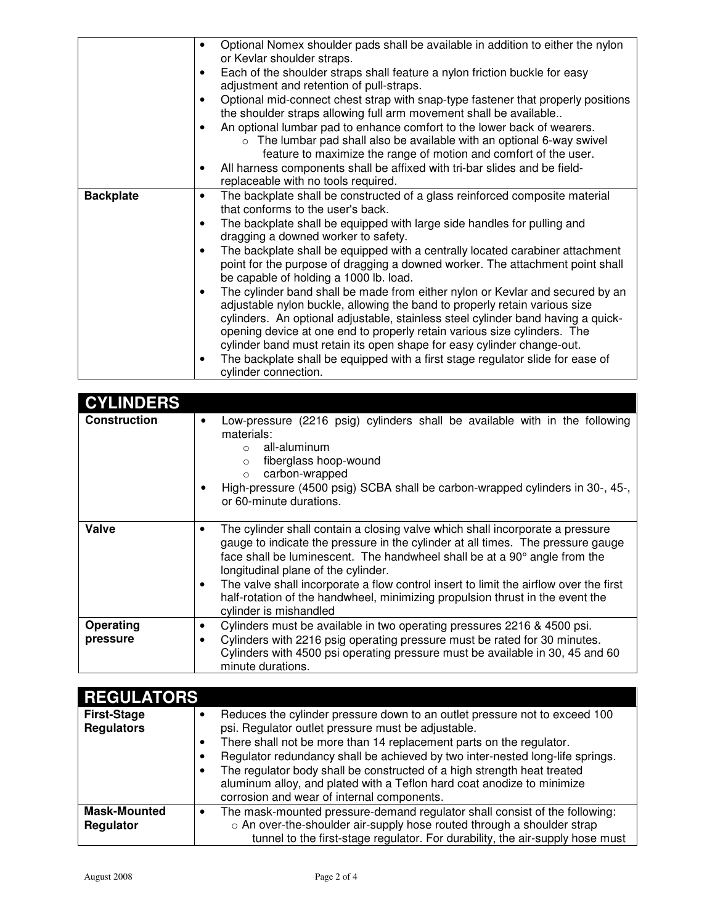|                  | Optional Nomex shoulder pads shall be available in addition to either the nylon<br>$\bullet$<br>or Kevlar shoulder straps.                                                                                                                                                                                                                                                                                                                                                              |
|------------------|-----------------------------------------------------------------------------------------------------------------------------------------------------------------------------------------------------------------------------------------------------------------------------------------------------------------------------------------------------------------------------------------------------------------------------------------------------------------------------------------|
|                  | Each of the shoulder straps shall feature a nylon friction buckle for easy<br>adjustment and retention of pull-straps.                                                                                                                                                                                                                                                                                                                                                                  |
|                  | Optional mid-connect chest strap with snap-type fastener that properly positions<br>the shoulder straps allowing full arm movement shall be available                                                                                                                                                                                                                                                                                                                                   |
|                  | An optional lumbar pad to enhance comfort to the lower back of wearers.<br>The lumbar pad shall also be available with an optional 6-way swivel<br>$\circ$<br>feature to maximize the range of motion and comfort of the user.                                                                                                                                                                                                                                                          |
|                  | All harness components shall be affixed with tri-bar slides and be field-<br>replaceable with no tools required.                                                                                                                                                                                                                                                                                                                                                                        |
| <b>Backplate</b> | The backplate shall be constructed of a glass reinforced composite material<br>٠<br>that conforms to the user's back.                                                                                                                                                                                                                                                                                                                                                                   |
|                  | The backplate shall be equipped with large side handles for pulling and<br>dragging a downed worker to safety.                                                                                                                                                                                                                                                                                                                                                                          |
|                  | The backplate shall be equipped with a centrally located carabiner attachment<br>point for the purpose of dragging a downed worker. The attachment point shall<br>be capable of holding a 1000 lb. load.                                                                                                                                                                                                                                                                                |
|                  | The cylinder band shall be made from either nylon or Kevlar and secured by an<br>adjustable nylon buckle, allowing the band to properly retain various size<br>cylinders. An optional adjustable, stainless steel cylinder band having a quick-<br>opening device at one end to properly retain various size cylinders. The<br>cylinder band must retain its open shape for easy cylinder change-out.<br>The backplate shall be equipped with a first stage regulator slide for ease of |
|                  | cylinder connection.                                                                                                                                                                                                                                                                                                                                                                                                                                                                    |

| <b>CYLINDERS</b>    |                                                                                                                                                                                                                                                                                                                                                                                    |
|---------------------|------------------------------------------------------------------------------------------------------------------------------------------------------------------------------------------------------------------------------------------------------------------------------------------------------------------------------------------------------------------------------------|
| <b>Construction</b> | Low-pressure (2216 psig) cylinders shall be available with in the following<br>materials:<br>all-aluminum<br>fiberglass hoop-wound<br>$\Omega$<br>carbon-wrapped<br>$\Omega$<br>High-pressure (4500 psig) SCBA shall be carbon-wrapped cylinders in 30-, 45-,<br>or 60-minute durations.                                                                                           |
| Valve               | The cylinder shall contain a closing valve which shall incorporate a pressure<br>٠<br>gauge to indicate the pressure in the cylinder at all times. The pressure gauge<br>face shall be luminescent. The handwheel shall be at a 90° angle from the<br>longitudinal plane of the cylinder.<br>The valve shall incorporate a flow control insert to limit the airflow over the first |
|                     | half-rotation of the handwheel, minimizing propulsion thrust in the event the<br>cylinder is mishandled                                                                                                                                                                                                                                                                            |
| Operating           | Cylinders must be available in two operating pressures 2216 & 4500 psi.<br>٠                                                                                                                                                                                                                                                                                                       |
| pressure            | Cylinders with 2216 psig operating pressure must be rated for 30 minutes.<br>Cylinders with 4500 psi operating pressure must be available in 30, 45 and 60<br>minute durations.                                                                                                                                                                                                    |

| <b>REGULATORS</b>                       |                                                                                                                                                                                                                                       |
|-----------------------------------------|---------------------------------------------------------------------------------------------------------------------------------------------------------------------------------------------------------------------------------------|
| <b>First-Stage</b><br><b>Regulators</b> | Reduces the cylinder pressure down to an outlet pressure not to exceed 100<br>psi. Regulator outlet pressure must be adjustable.                                                                                                      |
|                                         | There shall not be more than 14 replacement parts on the regulator.                                                                                                                                                                   |
|                                         | Regulator redundancy shall be achieved by two inter-nested long-life springs.                                                                                                                                                         |
|                                         | The regulator body shall be constructed of a high strength heat treated<br>aluminum alloy, and plated with a Teflon hard coat anodize to minimize<br>corrosion and wear of internal components.                                       |
| <b>Mask-Mounted</b><br>Regulator        | The mask-mounted pressure-demand regulator shall consist of the following:<br>o An over-the-shoulder air-supply hose routed through a shoulder strap<br>tunnel to the first-stage regulator. For durability, the air-supply hose must |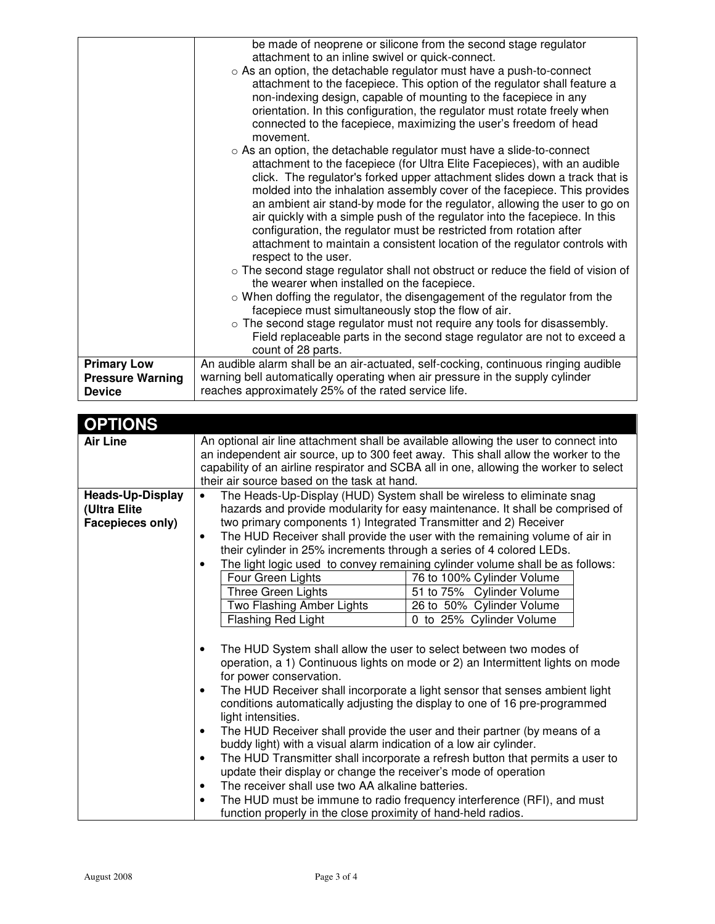|                         | be made of neoprene or silicone from the second stage regulator                     |
|-------------------------|-------------------------------------------------------------------------------------|
|                         | attachment to an inline swivel or quick-connect.                                    |
|                         | o As an option, the detachable regulator must have a push-to-connect                |
|                         | attachment to the facepiece. This option of the regulator shall feature a           |
|                         | non-indexing design, capable of mounting to the facepiece in any                    |
|                         | orientation. In this configuration, the regulator must rotate freely when           |
|                         | connected to the facepiece, maximizing the user's freedom of head                   |
|                         | movement.                                                                           |
|                         | ○ As an option, the detachable regulator must have a slide-to-connect               |
|                         | attachment to the facepiece (for Ultra Elite Facepieces), with an audible           |
|                         | click. The regulator's forked upper attachment slides down a track that is          |
|                         | molded into the inhalation assembly cover of the facepiece. This provides           |
|                         | an ambient air stand-by mode for the regulator, allowing the user to go on          |
|                         | air quickly with a simple push of the regulator into the facepiece. In this         |
|                         | configuration, the regulator must be restricted from rotation after                 |
|                         | attachment to maintain a consistent location of the regulator controls with         |
|                         | respect to the user.                                                                |
|                         | o The second stage regulator shall not obstruct or reduce the field of vision of    |
|                         | the wearer when installed on the facepiece.                                         |
|                         | o When doffing the regulator, the disengagement of the regulator from the           |
|                         | facepiece must simultaneously stop the flow of air.                                 |
|                         | $\circ$ The second stage regulator must not require any tools for disassembly.      |
|                         | Field replaceable parts in the second stage regulator are not to exceed a           |
|                         | count of 28 parts.                                                                  |
| <b>Primary Low</b>      | An audible alarm shall be an air-actuated, self-cocking, continuous ringing audible |
| <b>Pressure Warning</b> | warning bell automatically operating when air pressure in the supply cylinder       |
| <b>Device</b>           | reaches approximately 25% of the rated service life.                                |

| <b>OPTIONS</b>          |                                                                      |                                                                                                                                                                                                                                                                      |
|-------------------------|----------------------------------------------------------------------|----------------------------------------------------------------------------------------------------------------------------------------------------------------------------------------------------------------------------------------------------------------------|
| <b>Air Line</b>         |                                                                      | An optional air line attachment shall be available allowing the user to connect into<br>an independent air source, up to 300 feet away. This shall allow the worker to the<br>capability of an airline respirator and SCBA all in one, allowing the worker to select |
|                         | their air source based on the task at hand.                          |                                                                                                                                                                                                                                                                      |
|                         |                                                                      |                                                                                                                                                                                                                                                                      |
| <b>Heads-Up-Display</b> |                                                                      | The Heads-Up-Display (HUD) System shall be wireless to eliminate snag                                                                                                                                                                                                |
| (Ultra Elite            |                                                                      | hazards and provide modularity for easy maintenance. It shall be comprised of                                                                                                                                                                                        |
| Facepieces only)        | two primary components 1) Integrated Transmitter and 2) Receiver     |                                                                                                                                                                                                                                                                      |
|                         | ٠                                                                    | The HUD Receiver shall provide the user with the remaining volume of air in                                                                                                                                                                                          |
|                         | their cylinder in 25% increments through a series of 4 colored LEDs. |                                                                                                                                                                                                                                                                      |
|                         |                                                                      | The light logic used to convey remaining cylinder volume shall be as follows:                                                                                                                                                                                        |
|                         | Four Green Lights                                                    | 76 to 100% Cylinder Volume                                                                                                                                                                                                                                           |
|                         | Three Green Lights                                                   | 51 to 75% Cylinder Volume                                                                                                                                                                                                                                            |
|                         | Two Flashing Amber Lights                                            | 26 to 50% Cylinder Volume                                                                                                                                                                                                                                            |
|                         | Flashing Red Light                                                   | 0 to 25% Cylinder Volume                                                                                                                                                                                                                                             |
|                         |                                                                      |                                                                                                                                                                                                                                                                      |
|                         | The HUD System shall allow the user to select between two modes of   |                                                                                                                                                                                                                                                                      |
|                         |                                                                      | operation, a 1) Continuous lights on mode or 2) an Intermittent lights on mode                                                                                                                                                                                       |
|                         | for power conservation.                                              |                                                                                                                                                                                                                                                                      |
|                         |                                                                      | The HUD Receiver shall incorporate a light sensor that senses ambient light                                                                                                                                                                                          |
|                         |                                                                      | conditions automatically adjusting the display to one of 16 pre-programmed                                                                                                                                                                                           |
|                         | light intensities.                                                   |                                                                                                                                                                                                                                                                      |
|                         | ٠                                                                    | The HUD Receiver shall provide the user and their partner (by means of a                                                                                                                                                                                             |
|                         | buddy light) with a visual alarm indication of a low air cylinder.   |                                                                                                                                                                                                                                                                      |
|                         | $\bullet$                                                            | The HUD Transmitter shall incorporate a refresh button that permits a user to                                                                                                                                                                                        |
|                         | update their display or change the receiver's mode of operation      |                                                                                                                                                                                                                                                                      |
|                         | The receiver shall use two AA alkaline batteries.<br>٠               |                                                                                                                                                                                                                                                                      |
|                         |                                                                      | The HUD must be immune to radio frequency interference (RFI), and must                                                                                                                                                                                               |
|                         | function properly in the close proximity of hand-held radios.        |                                                                                                                                                                                                                                                                      |
|                         |                                                                      |                                                                                                                                                                                                                                                                      |